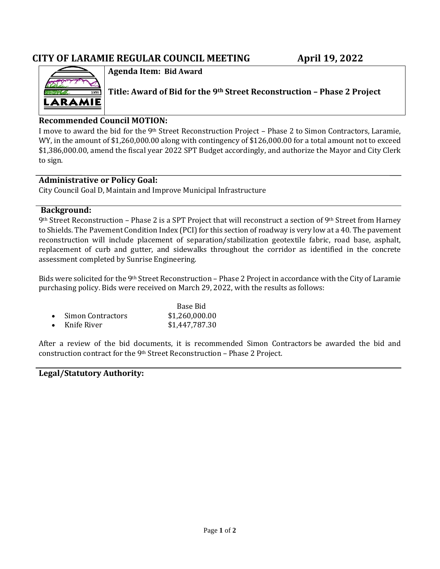# **CITY OF LARAMIE REGULAR COUNCIL MEETING April 19, 2022**



**Agenda Item: Bid Award**

**Title: Award of Bid for the 9th Street Reconstruction – Phase 2 Project**

### **Recommended Council MOTION:**

I move to award the bid for the 9th Street Reconstruction Project – Phase 2 to Simon Contractors, Laramie, WY, in the amount of \$1,260,000.00 along with contingency of \$126,000.00 for a total amount not to exceed \$1,386,000.00, amend the fiscal year 2022 SPT Budget accordingly, and authorize the Mayor and City Clerk to sign.

#### **Administrative or Policy Goal:**

City Council Goal D, Maintain and Improve Municipal Infrastructure

#### **Background:**

9th Street Reconstruction – Phase 2 is a SPT Project that will reconstruct a section of 9th Street from Harney to Shields. The Pavement Condition Index (PCI) for this section of roadway is very low at a 40. The pavement reconstruction will include placement of separation/stabilization geotextile fabric, road base, asphalt, replacement of curb and gutter, and sidewalks throughout the corridor as identified in the concrete assessment completed by Sunrise Engineering.

Bids were solicited for the 9th Street Reconstruction – Phase 2 Project in accordance with the City of Laramie purchasing policy. Bids were received on March 29, 2022, with the results as follows:

|                       | Base Bid       |  |
|-----------------------|----------------|--|
| • Simon Contractors   | \$1,260,000.00 |  |
| $\bullet$ Knife River | \$1,447,787.30 |  |

After a review of the bid documents, it is recommended Simon Contractors be awarded the bid and construction contract for the 9th Street Reconstruction – Phase 2 Project.

#### **Legal/Statutory Authority:**